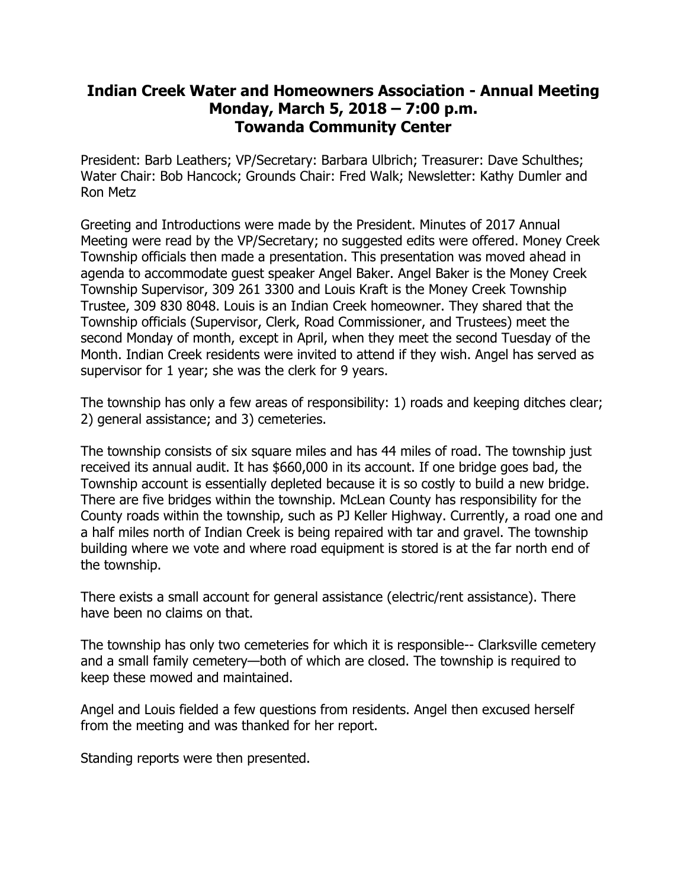## **Indian Creek Water and Homeowners Association - Annual Meeting Monday, March 5, 2018 – 7:00 p.m. Towanda Community Center**

President: Barb Leathers; VP/Secretary: Barbara Ulbrich; Treasurer: Dave Schulthes; Water Chair: Bob Hancock; Grounds Chair: Fred Walk; Newsletter: Kathy Dumler and Ron Metz

Greeting and Introductions were made by the President. Minutes of 2017 Annual Meeting were read by the VP/Secretary; no suggested edits were offered. Money Creek Township officials then made a presentation. This presentation was moved ahead in agenda to accommodate guest speaker Angel Baker. Angel Baker is the Money Creek Township Supervisor, 309 261 3300 and Louis Kraft is the Money Creek Township Trustee, 309 830 8048. Louis is an Indian Creek homeowner. They shared that the Township officials (Supervisor, Clerk, Road Commissioner, and Trustees) meet the second Monday of month, except in April, when they meet the second Tuesday of the Month. Indian Creek residents were invited to attend if they wish. Angel has served as supervisor for 1 year; she was the clerk for 9 years.

The township has only a few areas of responsibility: 1) roads and keeping ditches clear; 2) general assistance; and 3) cemeteries.

The township consists of six square miles and has 44 miles of road. The township just received its annual audit. It has \$660,000 in its account. If one bridge goes bad, the Township account is essentially depleted because it is so costly to build a new bridge. There are five bridges within the township. McLean County has responsibility for the County roads within the township, such as PJ Keller Highway. Currently, a road one and a half miles north of Indian Creek is being repaired with tar and gravel. The township building where we vote and where road equipment is stored is at the far north end of the township.

There exists a small account for general assistance (electric/rent assistance). There have been no claims on that.

The township has only two cemeteries for which it is responsible-- Clarksville cemetery and a small family cemetery—both of which are closed. The township is required to keep these mowed and maintained.

Angel and Louis fielded a few questions from residents. Angel then excused herself from the meeting and was thanked for her report.

Standing reports were then presented.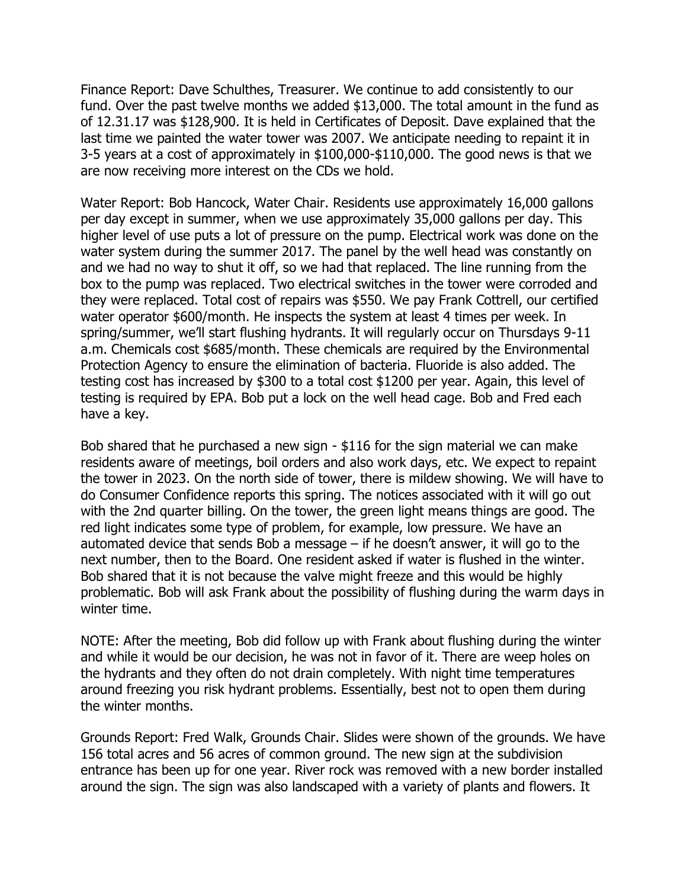Finance Report: Dave Schulthes, Treasurer. We continue to add consistently to our fund. Over the past twelve months we added \$13,000. The total amount in the fund as of 12.31.17 was \$128,900. It is held in Certificates of Deposit. Dave explained that the last time we painted the water tower was 2007. We anticipate needing to repaint it in 3-5 years at a cost of approximately in \$100,000-\$110,000. The good news is that we are now receiving more interest on the CDs we hold.

Water Report: Bob Hancock, Water Chair. Residents use approximately 16,000 gallons per day except in summer, when we use approximately 35,000 gallons per day. This higher level of use puts a lot of pressure on the pump. Electrical work was done on the water system during the summer 2017. The panel by the well head was constantly on and we had no way to shut it off, so we had that replaced. The line running from the box to the pump was replaced. Two electrical switches in the tower were corroded and they were replaced. Total cost of repairs was \$550. We pay Frank Cottrell, our certified water operator \$600/month. He inspects the system at least 4 times per week. In spring/summer, we'll start flushing hydrants. It will regularly occur on Thursdays 9-11 a.m. Chemicals cost \$685/month. These chemicals are required by the Environmental Protection Agency to ensure the elimination of bacteria. Fluoride is also added. The testing cost has increased by \$300 to a total cost \$1200 per year. Again, this level of testing is required by EPA. Bob put a lock on the well head cage. Bob and Fred each have a key.

Bob shared that he purchased a new sign - \$116 for the sign material we can make residents aware of meetings, boil orders and also work days, etc. We expect to repaint the tower in 2023. On the north side of tower, there is mildew showing. We will have to do Consumer Confidence reports this spring. The notices associated with it will go out with the 2nd quarter billing. On the tower, the green light means things are good. The red light indicates some type of problem, for example, low pressure. We have an automated device that sends Bob a message  $-$  if he doesn't answer, it will go to the next number, then to the Board. One resident asked if water is flushed in the winter. Bob shared that it is not because the valve might freeze and this would be highly problematic. Bob will ask Frank about the possibility of flushing during the warm days in winter time.

NOTE: After the meeting, Bob did follow up with Frank about flushing during the winter and while it would be our decision, he was not in favor of it. There are weep holes on the hydrants and they often do not drain completely. With night time temperatures around freezing you risk hydrant problems. Essentially, best not to open them during the winter months.

Grounds Report: Fred Walk, Grounds Chair. Slides were shown of the grounds. We have 156 total acres and 56 acres of common ground. The new sign at the subdivision entrance has been up for one year. River rock was removed with a new border installed around the sign. The sign was also landscaped with a variety of plants and flowers. It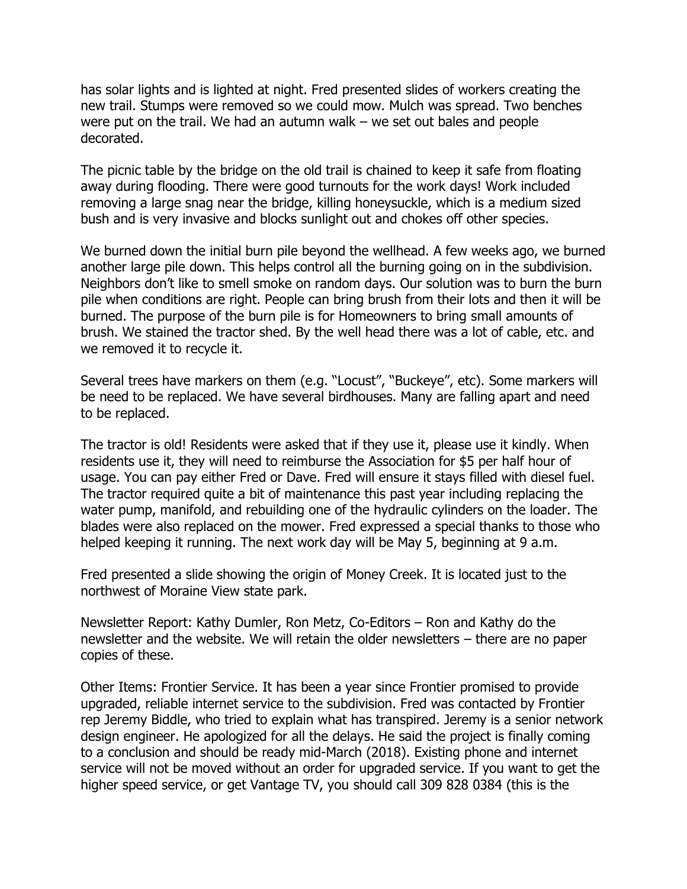has solar lights and is lighted at night. Fred presented slides of workers creating the new trail. Stumps were removed so we could mow. Mulch was spread. Two benches were put on the trail. We had an autumn walk – we set out bales and people decorated.

The picnic table by the bridge on the old trail is chained to keep it safe from floating away during flooding. There were good turnouts for the work days! Work included removing a large snag near the bridge, killing honeysuckle, which is a medium sized bush and is very invasive and blocks sunlight out and chokes off other species.

We burned down the initial burn pile beyond the wellhead. A few weeks ago, we burned another large pile down. This helps control all the burning going on in the subdivision. Neighbors don't like to smell smoke on random days. Our solution was to burn the burn pile when conditions are right. People can bring brush from their lots and then it will be burned. The purpose of the burn pile is for Homeowners to bring small amounts of brush. We stained the tractor shed. By the well head there was a lot of cable, etc. and we removed it to recycle it.

Several trees have markers on them (e.g. "Locust", "Buckeye", etc). Some markers will be need to be replaced. We have several birdhouses. Many are falling apart and need to be replaced.

The tractor is old! Residents were asked that if they use it, please use it kindly. When residents use it, they will need to reimburse the Association for \$5 per half hour of usage. You can pay either Fred or Dave. Fred will ensure it stays filled with diesel fuel. The tractor required quite a bit of maintenance this past year including replacing the water pump, manifold, and rebuilding one of the hydraulic cylinders on the loader. The blades were also replaced on the mower. Fred expressed a special thanks to those who helped keeping it running. The next work day will be May 5, beginning at 9 a.m.

Fred presented a slide showing the origin of Money Creek. It is located just to the northwest of Moraine View state park.

Newsletter Report: Kathy Dumler, Ron Metz, Co-Editors – Ron and Kathy do the newsletter and the website. We will retain the older newsletters – there are no paper copies of these.

Other Items: Frontier Service. It has been a year since Frontier promised to provide upgraded, reliable internet service to the subdivision. Fred was contacted by Frontier rep Jeremy Biddle, who tried to explain what has transpired. Jeremy is a senior network design engineer. He apologized for all the delays. He said the project is finally coming to a conclusion and should be ready mid-March (2018). Existing phone and internet service will not be moved without an order for upgraded service. If you want to get the higher speed service, or get Vantage TV, you should call 309 828 0384 (this is the